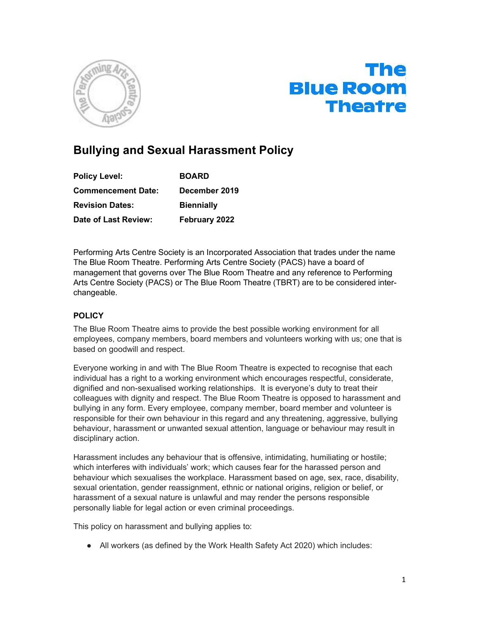



# Bullying and Sexual Harassment Policy

| <b>Policy Level:</b>      | <b>BOARD</b>      |
|---------------------------|-------------------|
| <b>Commencement Date:</b> | December 2019     |
| <b>Revision Dates:</b>    | <b>Biennially</b> |
| Date of Last Review:      | February 2022     |

Performing Arts Centre Society is an Incorporated Association that trades under the name The Blue Room Theatre. Performing Arts Centre Society (PACS) have a board of management that governs over The Blue Room Theatre and any reference to Performing Arts Centre Society (PACS) or The Blue Room Theatre (TBRT) are to be considered interchangeable.

### **POLICY**

The Blue Room Theatre aims to provide the best possible working environment for all employees, company members, board members and volunteers working with us; one that is based on goodwill and respect.

Everyone working in and with The Blue Room Theatre is expected to recognise that each individual has a right to a working environment which encourages respectful, considerate, dignified and non-sexualised working relationships. It is everyone's duty to treat their colleagues with dignity and respect. The Blue Room Theatre is opposed to harassment and bullying in any form. Every employee, company member, board member and volunteer is responsible for their own behaviour in this regard and any threatening, aggressive, bullying behaviour, harassment or unwanted sexual attention, language or behaviour may result in disciplinary action.

Harassment includes any behaviour that is offensive, intimidating, humiliating or hostile; which interferes with individuals' work; which causes fear for the harassed person and behaviour which sexualises the workplace. Harassment based on age, sex, race, disability, sexual orientation, gender reassignment, ethnic or national origins, religion or belief, or harassment of a sexual nature is unlawful and may render the persons responsible personally liable for legal action or even criminal proceedings.

This policy on harassment and bullying applies to:

● All workers (as defined by the Work Health Safety Act 2020) which includes: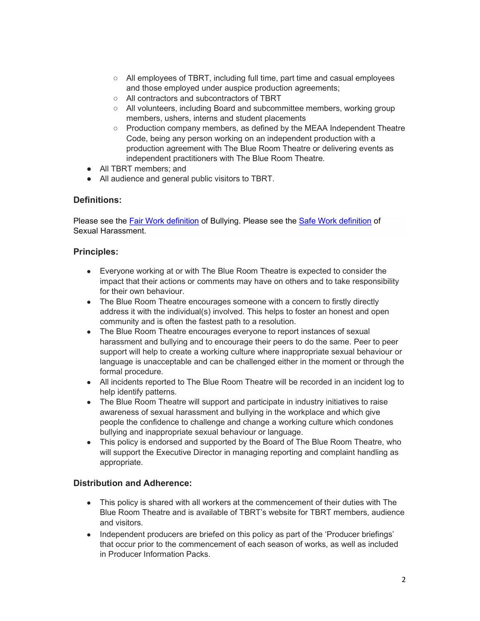- All employees of TBRT, including full time, part time and casual employees and those employed under auspice production agreements;
- All contractors and subcontractors of TBRT
- All volunteers, including Board and subcommittee members, working group members, ushers, interns and student placements
- Production company members, as defined by the MEAA Independent Theatre Code, being any person working on an independent production with a production agreement with The Blue Room Theatre or delivering events as independent practitioners with The Blue Room Theatre.
- All TBRT members; and
- All audience and general public visitors to TBRT.

#### Definitions:

Please see the Fair Work definition of Bullying. Please see the Safe Work definition of Sexual Harassment.

#### Principles:

- Everyone working at or with The Blue Room Theatre is expected to consider the impact that their actions or comments may have on others and to take responsibility for their own behaviour.
- The Blue Room Theatre encourages someone with a concern to firstly directly address it with the individual(s) involved. This helps to foster an honest and open community and is often the fastest path to a resolution.
- The Blue Room Theatre encourages everyone to report instances of sexual harassment and bullying and to encourage their peers to do the same. Peer to peer support will help to create a working culture where inappropriate sexual behaviour or language is unacceptable and can be challenged either in the moment or through the formal procedure.
- All incidents reported to The Blue Room Theatre will be recorded in an incident log to help identify patterns.
- The Blue Room Theatre will support and participate in industry initiatives to raise awareness of sexual harassment and bullying in the workplace and which give people the confidence to challenge and change a working culture which condones bullying and inappropriate sexual behaviour or language.
- This policy is endorsed and supported by the Board of The Blue Room Theatre, who will support the Executive Director in managing reporting and complaint handling as appropriate.

## Distribution and Adherence:

- This policy is shared with all workers at the commencement of their duties with The Blue Room Theatre and is available of TBRT's website for TBRT members, audience and visitors.
- Independent producers are briefed on this policy as part of the 'Producer briefings' that occur prior to the commencement of each season of works, as well as included in Producer Information Packs.